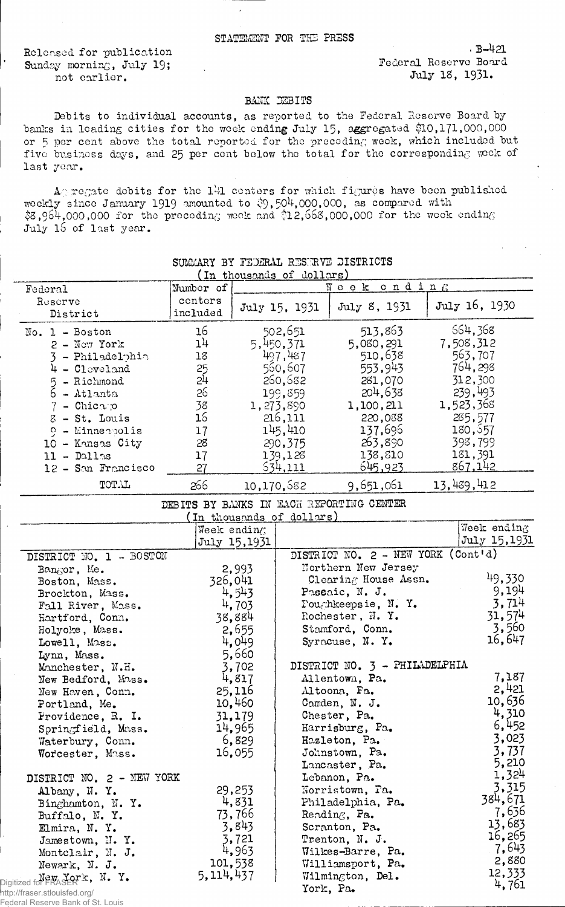Released for publication Sunday morning, July 19; not earlier.

Federal Reserve Board July 18, 1931.

• B-421

## BANK DEBITS

Debits to individual accounts, as reported to the Federal Reserve Board by banks in leading cities for the week ending July 15, aggregated \$10,171,000,000 or 5 per cent above the total reported for the preceding week, which included but five business days, and 25 per cent below the total for the corresponding week of last year.

Ag regate debits for the 141 centers for which figures have been published weekly since January 1919 amounted to  $\degreeledS,504,000,000,$  as compared with  $$8,964,000,000$  for the preceding week and  $\$12,668,000,000$  for the week ending July 15 of last year.

|                                                                    |                     |                 | (In thousands of dollars) |                                          |               |
|--------------------------------------------------------------------|---------------------|-----------------|---------------------------|------------------------------------------|---------------|
| Federal                                                            | Number of           |                 |                           | Week ending                              |               |
| Reserve<br>District                                                | conters<br>included |                 | July 15, 1931             | July 8, 1931                             | July 16, 1930 |
| No. $1 - Boston$                                                   | 16                  |                 | 502,651                   | 513,863                                  | 664,368       |
| $2 - \text{Now}$ York                                              | 14                  |                 | 5,450,371                 | 5,080,291                                | 7,508,312     |
| 3 - Philadelphia                                                   | $18\,$              |                 | 497,487                   | 510,638                                  | 563,707       |
| $4 - 01$ cvel and                                                  | 25                  |                 | 560,607                   | 553,943                                  | 764,298       |
| 5 - Richmond                                                       | 24                  |                 | 260,682                   | 281,070                                  | 312,300       |
| 6 - Atlanta                                                        | 26                  |                 | 199,859                   | 204,638                                  | 239,493       |
| $7 -$ Chicago                                                      | 38                  |                 | 1,273,890                 | 1,100,211                                | 1,523,368     |
| $8$ - St. Louis                                                    | 16                  |                 | 216,111                   | 220,038                                  | 285,577       |
| $9 -$ Minnerbolis                                                  | 17                  |                 | 145,410                   | 137,696                                  | 180,557       |
| 10 - Kansas City                                                   | 28                  |                 | 290,375                   | 263,890                                  | 398,799       |
| $11 -$ Dallas                                                      | 17                  |                 | 139,128                   | 138,810                                  | 181,391       |
| 12 - San Francisco                                                 | 27                  |                 | 534,111                   | 645,923                                  | 867,142       |
| TOTAL                                                              | 266                 |                 | 10,170,582                | 9,651,061                                | 13,439,412    |
|                                                                    |                     |                 |                           | DEBITS BY BANKS IN EACH REPORTING CENTER |               |
|                                                                    |                     |                 | (In thousands of dollars) |                                          |               |
|                                                                    |                     | Week ending     |                           |                                          | Week ending   |
|                                                                    |                     | July 15,1931    |                           |                                          | July 15,1931  |
| DISTRICT NO. 1 - BOSTON                                            |                     |                 |                           | DISTRICT NO. 2 - NEW YORK (Cont'd)       |               |
| Bangor, Me.                                                        |                     | 2,993           |                           | Northern New Jersey                      |               |
| Boston, Mass.                                                      | 326,041             |                 |                           | Clearing House Assn.                     | 49,330        |
| Brockton, Mass.                                                    |                     | 4,543           |                           | Passaic, N. J.                           | 9,194         |
| Fall River, Mass.                                                  |                     | 4,703           |                           | Toughkeepsie, N.Y.                       | 3,714         |
| Hartford, Conn.                                                    |                     | 38,884          |                           | Rochester, N.Y.                          | 31,574        |
| Holyoke, Mass.                                                     |                     | 2,655           |                           | Stamford, Conn.                          | 3,560         |
| Lowell, Mass.                                                      |                     | 4,049           |                           | Syracuse, N.Y.                           | 16,647        |
| Lynn, Mass.                                                        |                     | 5,660           |                           |                                          |               |
| Manchester, N.H.                                                   |                     | 3,702           |                           | DISTRICT NO. 3 - PHILADELPHIA            | 7,187         |
| New Bedford, Mass.                                                 |                     | 4,817           |                           | Allentown, Pa.                           | 2,421         |
| New Haven, Conn.                                                   |                     | 25,116          |                           | Altoona, Fa.                             | 10,636        |
| Portland, Me.                                                      |                     | 10,460          |                           | Camden, N. J.                            | 4,310         |
| Providence, R. I.                                                  |                     | 31,179          |                           | Chester, Pa.<br>Harrisburg, Pa.          | 6,452         |
| Springfield, Mass.                                                 |                     | 14,965<br>6,829 |                           | Hazleton, Pa.                            | 3,023         |
| Waterbury, Conn.<br>Worcester, Mass.                               |                     | 16,055          |                           | Johnstown, Pa.                           | 3,737         |
|                                                                    |                     |                 |                           | Lancaster, Pa.                           | 5,210         |
| DISTRICT NO. 2 - NEW YORK                                          |                     |                 |                           | Lebanon, Pa.                             | 1,324         |
| Albany, N.Y.                                                       |                     | 29,253          |                           | Norristown, Pa.                          | 3,315         |
| Binghamton, N.Y.                                                   |                     | 4,831           |                           | Philadelphia, Pa.                        | 384,671       |
| Buffalo, N.Y.                                                      |                     | 73,766          |                           | Reading, Pa.                             | 7,636         |
| Elmira, N.Y.                                                       |                     | 3,843           |                           | Scranton, Pa.                            | 13,683        |
| Jamestown, N.Y.                                                    |                     | 3,721           |                           | Trenton, N. J.                           | 16,265        |
| Montclair, N. J.                                                   |                     | 4,963           |                           | Wilkes-Barre, Pa.                        | 7,643         |
| Newark, N. J.                                                      | 101,538             |                 |                           | Williamsport, Pa.                        | 2,880         |
| New York, N. Y.                                                    | 5,114,437           |                 |                           | Wilmington, Del.                         | 12,333        |
|                                                                    |                     |                 | York, Pa.                 |                                          | 4,761         |
| http://fraser.stlouisfed.org/<br>Federal Reserve Bank of St. Louis |                     |                 |                           |                                          |               |

## SUMMARY BY FEDERAL RESERVE DISTRICTS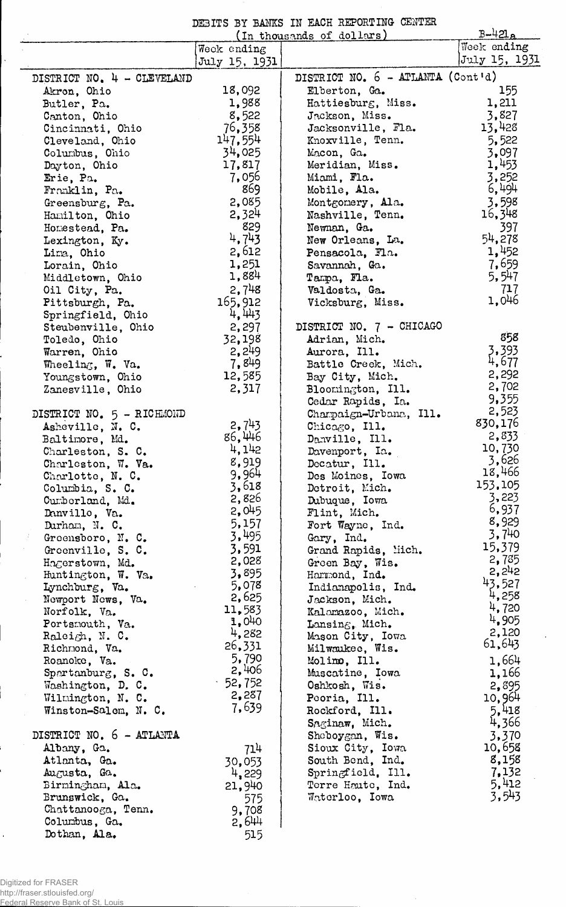DEBITS BY BAMS IN EACH REPORTING- CENTER

|                                     | (In thousands of dollars) | $B-421a$                            |                |
|-------------------------------------|---------------------------|-------------------------------------|----------------|
|                                     | Week ending               |                                     | Week ending    |
|                                     | July 15, 1931             |                                     | July 15, 1931  |
| DISTRICT NO. 4 - CLEVELAND          |                           | DISTRICT NO. $6$ - ATLANTA (Cont'd) |                |
| Akron, Ohio                         | 18,092                    | Elberton, Ga.                       | 155            |
| Butler, Pa.                         | 1,988                     | Hattiesburg, Miss.                  | 1,211          |
| Canton, Ohio                        | 8,522                     | Jackson, Miss.                      | 3,827          |
| Cincinnati, Ohio                    | 76,358                    | Jacksonville, Fla.                  | 13,428         |
| Cleveland, Ohio                     | 147,554                   | Knoxville, Tenn.                    | 5,522          |
| Columbus, Ohio                      | 34,025                    | Macon, Ga.                          | 3,097          |
| Dayton, Ohio                        | 17,817                    | Meridian, Miss.                     | 1,453          |
| Erie, Pa.                           | 7,056                     | Miami, Fla.                         | 3,252          |
| Franklin, Pa.                       | 869                       | Mobile, Ala.                        | 6,494          |
| Greensburg, Pa.                     | 2,085                     | Montgomery, Ala.                    | 3,598          |
| Hamilton, Chio                      | 2,324                     | Nashville, Tenn.                    | 16,348         |
| Homestead, Pa.                      | 829                       | Newnan, Ga.                         | 397            |
| Lexington, Ky.                      | 4,743                     | New Orleans, La.                    | 54,278         |
| Lima, Ohio                          | 2,612                     | Pensacola, Fla.                     | 1,452          |
| Lorain, Ohio                        | 1,251                     | Savannah, Ga.                       | 7,659          |
| Middletown, Ohio                    | 1,884                     | Tampa, Fla.                         | 5,547          |
| Oil City, Pa.                       | 2,748                     | Valdosta, Ga.                       | 717<br>1,046   |
| Pittsburgh, Pa.                     | 165,912                   | Vicksburg, Miss.                    |                |
| Springfield, Ohio                   | 4,443                     |                                     |                |
| Steubenville, Ohio                  | 2,297                     | DISTRICT NO. 7 - CHICAGO            | 858            |
| Toledo, Ohio                        | 32,198<br>2,249           | Adrian, Mich.<br>Aurora, Ill.       | 3,393          |
| Warren, Ohio<br>Wheeling, W. Va.    | 7.849                     | Battle Creek, Mich.                 | 4,677          |
| Youngstown, Ohio                    | 12,585                    | Bay City, Mich.                     | 2,292          |
| Zanesville, Ohio                    | 2,317                     | Bloomington, Ill.                   | 2,702          |
|                                     |                           | Cedar Rapids, Ia.                   | 9,355          |
| DISTRICT NO. 5 - RICHMOND           |                           | Charpaign-Urbana, Ill.              | 2,523          |
| Asheville, N. C.                    | 2,743                     | Chicago, Ill.                       | 830,176        |
| Baltimore, Md.                      | 86,446                    | Danville, Ill.                      | 2,833          |
| Charleston, S. C.                   | 4,142                     | Davenport, Ia.                      | 10,730         |
| Charleston, W. Va.                  | 8,919                     | Decatur, Ill.                       | 3,626          |
| Charlotte, N. C.                    | 9,964                     | Des Moines, Iowa                    | 18,466         |
| Columbia, S. C.                     | 3,618                     | Detroit, Mich.                      | 153.105        |
| Cumberland, Md.                     | 2,826                     | Dubuque, Iowa                       | 3,223          |
| Danville, Va.                       | 2,045                     | Flint, Mich.                        | 6,937          |
| Durham, N. C.                       | 5,157                     | Fort Wayne, Ind.                    | 8,929          |
| Greensboro, N. C.                   | 3,495                     | Gary, Ind.                          | 3,740          |
| Greenville, S. C.                   | 3,591                     | Grand Rapids, Mich.                 | 15,379         |
| Hagerstown, Md.                     | 2,028                     | Green Bay, Wis.                     | 2,785          |
| Huntington, W. Va.                  | 3,895                     | Hammond, Ind.                       | 2,242          |
| Lynchburg, Va.                      | 5,078                     | Indianapolis, Ind.                  | 43,527         |
| Newport News, Va.                   | 2,625                     | Jackson, Mich.                      | 4,258          |
| Norfolk, Va.                        | 11,583                    | Kalamazoo, Mich.                    | 4,720          |
| Portsmouth, Va.                     | 1,040                     | Lansing, Mich.                      | 4,905<br>2,120 |
| Raleigh, N.C.                       | 4,282                     | Mason City, Iowa                    | 61,643         |
| Richmond, Va.                       | 26,331                    | Milwaukee, Wis.                     |                |
| Roanoke, Va.                        | 5,790<br>2,406            | Molimo, Ill.                        | 1,664          |
| Spartanburg, S. C.                  | $-52,752$                 | Muscatine, Iowa                     | 1,166          |
| Washington, D. C.                   | 2,287                     | Oshkosh, Wis.                       | 2,895          |
| Wilmington, N. C.                   | 7,639                     | Peoria, Ill.                        | 10,964         |
| Winston-Salem, N. C.                |                           | Rockford, Ill.                      | 5,418          |
|                                     |                           | Saginaw, Mich.                      | 4,366          |
| DISTRICT NO. 6 - ATLANTA            |                           | Sheboygan, Wis.                     | 3,370          |
| Albany, Ga.                         | 714                       | Sioux City, Iowa                    | 10,658         |
| Atlanta, Ga.                        | 30,053                    | South Bend, Ind.                    | 8,158          |
| Augusta, Ga.                        | 4,229                     | Springfield, Ill.                   | 7,132<br>5,412 |
| Birmingham, Ala.                    | 21,940                    | Terre Haute, Ind.                   | 3,543          |
| Brunswick, Ga.                      | 575                       | Waterloo, Iowa                      |                |
| Chattanooga, Tenn.<br>Columbus, Ga. | 9,708<br>2,644            |                                     |                |
| Dothan, Ala.                        |                           |                                     |                |
|                                     | 515                       |                                     |                |

 $\hat{\boldsymbol{\beta}}$ 

Digitized for FRASER http://fraser.stlouisfed.org/ Federal Reserve Bank of St. Louis

 $\vdots$ 

i.

 $\hat{\mathbf{r}}$ 

 $\ddot{\phantom{0}}$